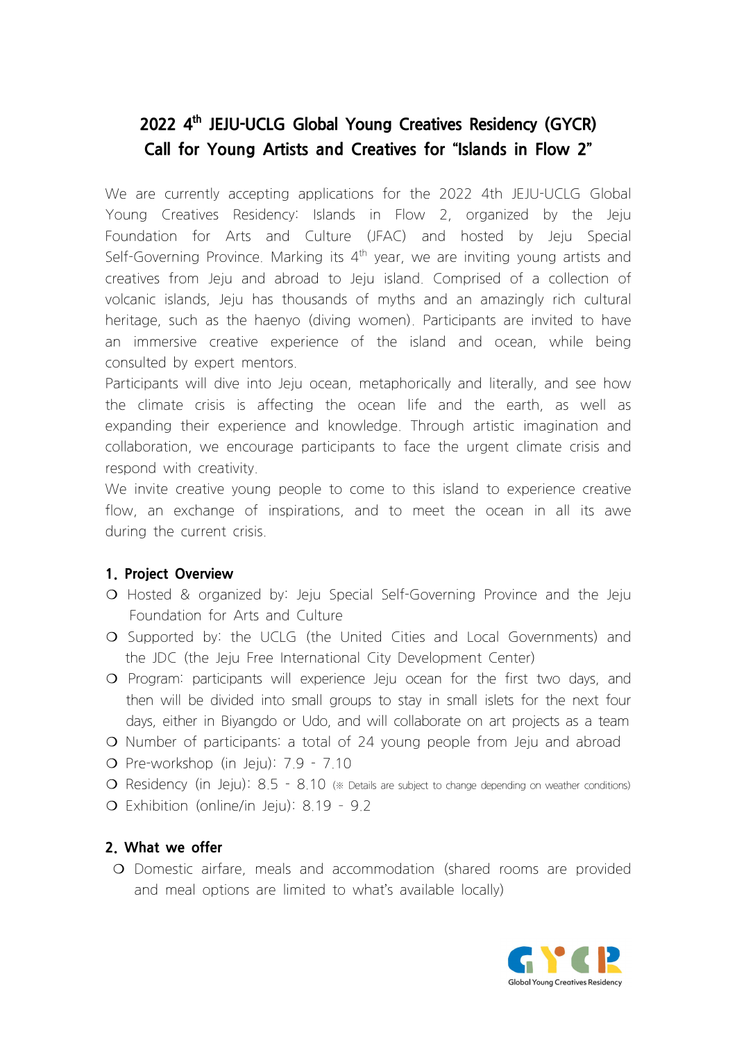# **2022 4 th JEJU-UCLG Global Young Creatives Residency (GYCR) Call for Young Artists and Creatives for "Islands in Flow 2"**

We are currently accepting applications for the 2022 4th JEJU-UCLG Global Young Creatives Residency: Islands in Flow 2, organized by the Jeju Foundation for Arts and Culture (JFAC) and hosted by Jeju Special Self-Governing Province. Marking its  $4<sup>th</sup>$  year, we are inviting young artists and creatives from Jeju and abroad to Jeju island. Comprised of a collection of volcanic islands, Jeju has thousands of myths and an amazingly rich cultural heritage, such as the haenyo (diving women). Participants are invited to have an immersive creative experience of the island and ocean, while being consulted by expert mentors.

Participants will dive into Jeju ocean, metaphorically and literally, and see how the climate crisis is affecting the ocean life and the earth, as well as expanding their experience and knowledge. Through artistic imagination and collaboration, we encourage participants to face the urgent climate crisis and respond with creativity.

We invite creative young people to come to this island to experience creative flow, an exchange of inspirations, and to meet the ocean in all its awe during the current crisis.

## **1. Project Overview**

- ❍ Hosted & organized by: Jeju Special Self-Governing Province and the Jeju Foundation for Arts and Culture
- ❍ Supported by: the UCLG (the United Cities and Local Governments) and the JDC (the Jeju Free International City Development Center)
- ❍ Program: participants will experience Jeju ocean for the first two days, and then will be divided into small groups to stay in small islets for the next four days, either in Biyangdo or Udo, and will collaborate on art projects as a team
- ❍ Number of participants: a total of 24 young people from Jeju and abroad
- ❍ Pre-workshop (in Jeju): 7.9 7.10
- ❍ Residency (in Jeju): 8.5 8.10 (※ Details are subject to change depending on weather conditions)
- O Exhibition (online/in Jeju): 8.19 9.2

# **2. What we offer**

❍ Domestic airfare, meals and accommodation (shared rooms are provided and meal options are limited to what's available locally)